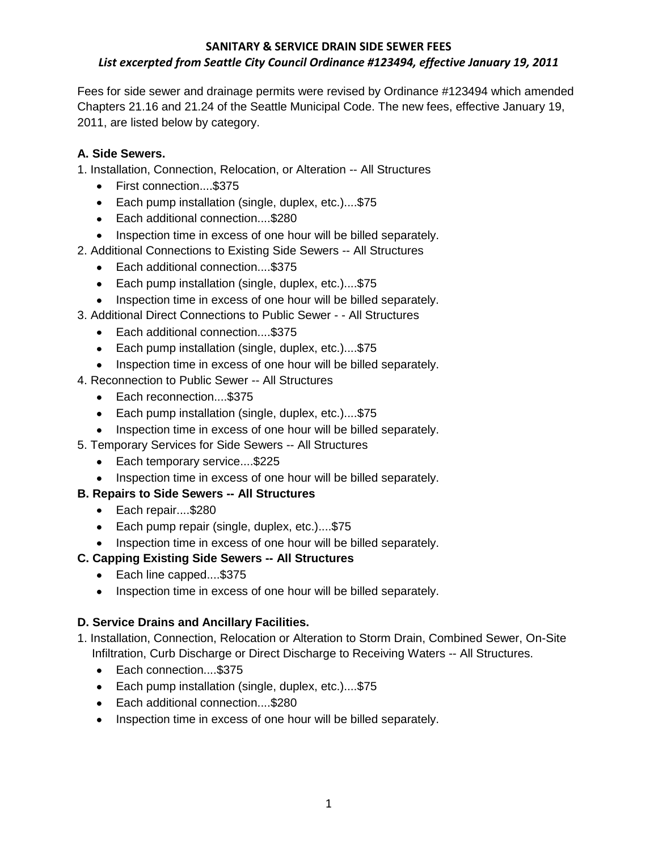### **SANITARY & SERVICE DRAIN SIDE SEWER FEES** *List excerpted from Seattle City Council Ordinance #123494, effective January 19, 2011*

Fees for side sewer and drainage permits were revised by Ordinance #123494 which amended Chapters 21.16 and 21.24 of the Seattle Municipal Code. The new fees, effective January 19, 2011, are listed below by category.

## **A. Side Sewers.**

1. Installation, Connection, Relocation, or Alteration -- All Structures

- First connection....\$375
- Each pump installation (single, duplex, etc.)....\$75
- Each additional connection....\$280
- Inspection time in excess of one hour will be billed separately.
- 2. Additional Connections to Existing Side Sewers -- All Structures
	- Each additional connection....\$375
	- Each pump installation (single, duplex, etc.)....\$75
	- Inspection time in excess of one hour will be billed separately.
- 3. Additional Direct Connections to Public Sewer - All Structures
	- Each additional connection....\$375
	- Each pump installation (single, duplex, etc.)....\$75
	- Inspection time in excess of one hour will be billed separately.
- 4. Reconnection to Public Sewer -- All Structures
	- Each reconnection....\$375
	- Each pump installation (single, duplex, etc.)....\$75
	- Inspection time in excess of one hour will be billed separately.
- 5. Temporary Services for Side Sewers -- All Structures
	- Each temporary service....\$225
	- Inspection time in excess of one hour will be billed separately.

# **B. Repairs to Side Sewers -- All Structures**

- Each repair....\$280
- Each pump repair (single, duplex, etc.)....\$75
- Inspection time in excess of one hour will be billed separately.

### **C. Capping Existing Side Sewers -- All Structures**

- Each line capped....\$375
- Inspection time in excess of one hour will be billed separately.

### **D. Service Drains and Ancillary Facilities.**

- 1. Installation, Connection, Relocation or Alteration to Storm Drain, Combined Sewer, On-Site Infiltration, Curb Discharge or Direct Discharge to Receiving Waters -- All Structures.
	- Each connection....\$375
	- Each pump installation (single, duplex, etc.)....\$75
	- Each additional connection....\$280
	- Inspection time in excess of one hour will be billed separately.